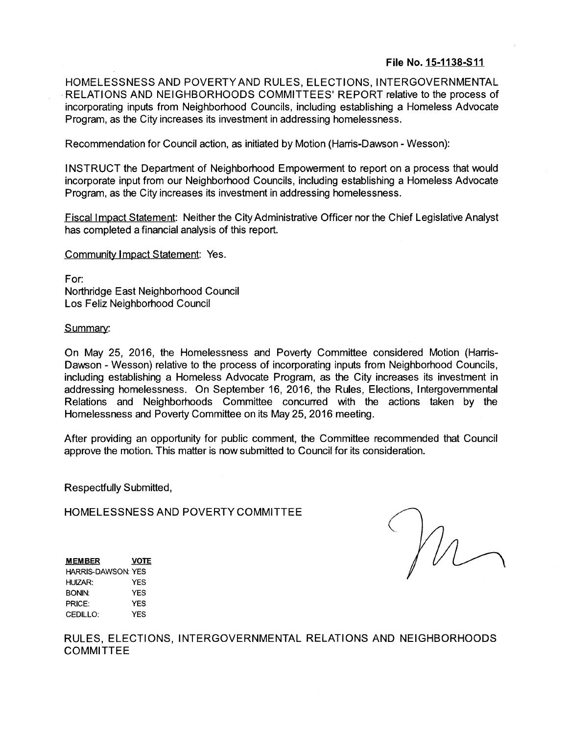## **File No. 15-1138-S11**

HOMELESSNESS AND POVERTYAND RULES, ELECTIONS, INTERGOVERNMENTAL RELATIONS AND NEIGHBORHOODS COMMITTEES' REPORT relative to the process of incorporating inputs from Neighborhood Councils, including establishing a Homeless Advocate Program, as the City increases its investment in addressing homelessness.

Recommendation for Council action, as initiated by Motion (Harris-Dawson - Wesson):

INSTRUCT the Department of Neighborhood Empowerment to report on a process that would incorporate input from our Neighborhood Councils, including establishing a Homeless Advocate Program, as the City increases its investment in addressing homelessness.

Fiscal Impact Statement: Neither the CityAdministrative Officer nor the Chief Legislative Analyst has completed a financial analysis of this report.

Community Impact Statement: Yes.

For: Northridge East Neighborhood Council Los Feliz Neighborhood Council

Summary:

On May 25, 2016, the Homelessness and Poverty Committee considered Motion (Harris-Dawson - Wesson) relative to the process of incorporating inputs from Neighborhood Councils, including establishing a Homeless Advocate Program, as the City increases its investment in addressing homelessness. On September 16, 2016, the Rules, Elections, Intergovernmental Relations and Neighborhoods Committee concurred with the actions taken by the Homelessness and Poverty Committee on its May 25,2016 meeting.

After providing an opportunity for public comment, the Committee recommended that Council approve the motion. This matter is now submitted to Council for its consideration.

Respectfully Submitted,

HOMELESSNESS AND POVERTY COMMITTEE

M

**MEMBER VOTE HARRIS-DAWSON: YES HUIZAR: YES BONIN: YES PRICE: YES CEDILLO: YES**

RULES, ELECTIONS, INTERGOVERNMENTAL RELATIONS AND NEIGHBORHOODS COMMITTEE